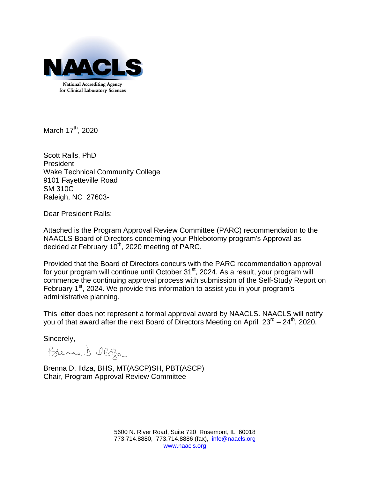

March 17<sup>th</sup>, 2020

Scott Ralls, PhD President Wake Technical Community College 9101 Fayetteville Road SM 310C Raleigh, NC 27603-

Dear President Ralls:

Attached is the Program Approval Review Committee (PARC) recommendation to the NAACLS Board of Directors concerning your Phlebotomy program's Approval as decided at February  $10^{th}$ , 2020 meeting of PARC.

Provided that the Board of Directors concurs with the PARC recommendation approval for your program will continue until October  $31<sup>st</sup>$ , 2024. As a result, your program will commence the continuing approval process with submission of the Self-Study Report on February  $1<sup>st</sup>$ , 2024. We provide this information to assist you in your program's administrative planning.

This letter does not represent a formal approval award by NAACLS. NAACLS will notify you of that award after the next Board of Directors Meeting on April  $23^{rd} - 24^{th}$ , 2020.

Sincerely,

Brenna D. Illoza

Brenna D. Ildza, BHS, MT(ASCP)SH, PBT(ASCP) Chair, Program Approval Review Committee

> 5600 N. River Road, Suite 720 Rosemont, IL 60018 773.714.8880, 773.714.8886 (fax), [info@naacls.org](mailto:info@naacls.org)  [www.naacls.org](http://www.naacls.org/)